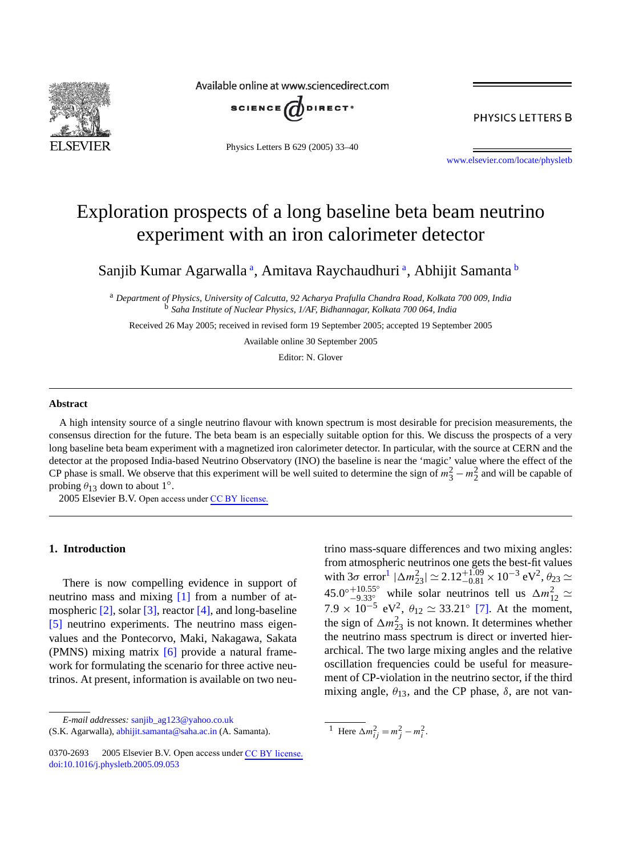

Available online at www.sciencedirect.com



Physics Letters B 629 (2005) 33–40

PHYSICS LETTERS B

[www.elsevier.com/locate/physletb](http://www.elsevier.com/locate/physletb)

# Exploration prospects of a long baseline beta beam neutrino experiment with an iron calorimeter detector

Sanjib Kumar Agarwalla<sup>a</sup>, Amitava Raychaudhuri<sup>a</sup>, Abhijit Samanta b

<sup>a</sup> *Department of Physics, University of Calcutta, 92 Acharya Prafulla Chandra Road, Kolkata 700 009, India* <sup>b</sup> *Saha Institute of Nuclear Physics, 1/AF, Bidhannagar, Kolkata 700 064, India*

Received 26 May 2005; received in revised form 19 September 2005; accepted 19 September 2005

Available online 30 September 2005

Editor: N. Glover

#### **Abstract**

A high intensity source of a single neutrino flavour with known spectrum is most desirable for precision measurements, the consensus direction for the future. The beta beam is an especially suitable option for this. We discuss the prospects of a very long baseline beta beam experiment with a magnetized iron calorimeter detector. In particular, with the source at CERN and the detector at the proposed India-based Neutrino Observatory (INO) the baseline is near the 'magic' value where the effect of the CP phase is small. We observe that this experiment will be well suited to determine the sign of  $m_3^2 - m_2^2$  and will be capable of probing  $\theta_{13}$  down to about 1<sup>°</sup>.

 $© 2005 Elsevier B.V. Open access under CC BY license.$  $© 2005 Elsevier B.V. Open access under CC BY license.$ 

# **1. Introduction**

There is now compelling evidence in support of neutrino mass and mixing [\[1\]](#page-6-0) from a number of at-mospheric [\[2\],](#page-6-0) solar [\[3\],](#page-6-0) reactor [\[4\],](#page-6-0) and long-baseline [\[5\]](#page-6-0) neutrino experiments. The neutrino mass eigenvalues and the Pontecorvo, Maki, Nakagawa, Sakata (PMNS) mixing matrix [\[6\]](#page-6-0) provide a natural framework for formulating the scenario for three active neutrinos. At present, information is available on two neu-

*E-mail addresses:* [sanjib\\_ag123@yahoo.co.uk](mailto:sanjib_ag123@yahoo.co.uk)

<sup>(</sup>S.K. Agarwalla), [abhijit.samanta@saha.ac.in](mailto:abhijit.samanta@saha.ac.in) (A. Samanta).

trino mass-square differences and two mixing angles: from atmospheric neutrinos one gets the best-fit values with  $3\sigma$  error<sup>1</sup>  $|\Delta m_{23}^2| \simeq 2.12^{+1.09}_{-0.81} \times 10^{-3}$  eV<sup>2</sup>,  $\theta_{23} \simeq$ 45.0°<sup>+10.55°</sup> while solar neutrinos tell us  $\Delta m_{12}^2$  ≃<br>7.9 × 10<sup>-5</sup> eV<sup>2</sup>,  $\theta_{12}$  ≃ 33.21° [\[7\].](#page-6-0) At the moment, the sign of  $\Delta m_{23}^2$  is not known. It determines whether the neutrino mass spectrum is direct or inverted hierarchical. The two large mixing angles and the relative oscillation frequencies could be useful for measurement of CP-violation in the neutrino sector, if the third mixing angle,  $\theta_{13}$ , and the CP phase,  $\delta$ , are not van-

<sup>&</sup>lt;sup>1</sup> Here  $\Delta m_{ij}^2 = m_j^2 - m_i^2$ .

<sup>0370-2693 © 2005</sup> Elsevier B.V. Open access under [CC BY license.](http://creativecommons.org/licenses/by/3.0/) [doi:10.1016/j.physletb.2005.09.053](http://dx.doi.org/10.1016/j.physletb.2005.09.053)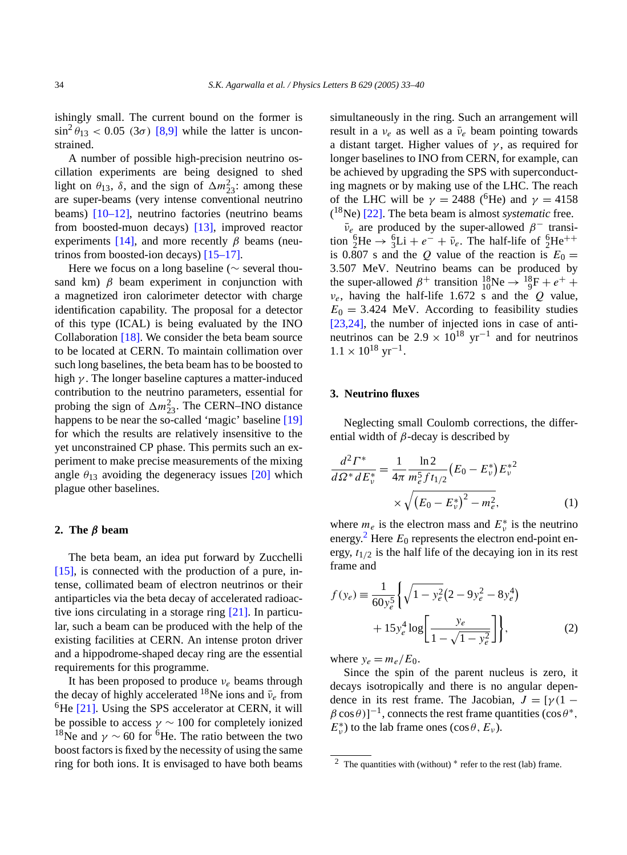<span id="page-1-0"></span>ishingly small. The current bound on the former is  $\sin^2 \theta_{13} < 0.05$  (3 $\sigma$ ) [\[8,9\]](#page-6-0) while the latter is unconstrained.

A number of possible high-precision neutrino oscillation experiments are being designed to shed light on  $\theta_{13}$ ,  $\delta$ , and the sign of  $\Delta m_{23}^2$ : among these are super-beams (very intense conventional neutrino beams) [\[10–12\],](#page-6-0) neutrino factories (neutrino beams from boosted-muon decays) [\[13\],](#page-6-0) improved reactor experiments [\[14\],](#page-6-0) and more recently  $\beta$  beams (neutrinos from boosted-ion decays) [\[15–17\].](#page-6-0)

Here we focus on a long baseline ( $\sim$  several thousand km)  $\beta$  beam experiment in conjunction with a magnetized iron calorimeter detector with charge identification capability. The proposal for a detector of this type (ICAL) is being evaluated by the INO Collaboration [\[18\].](#page-7-0) We consider the beta beam source to be located at CERN. To maintain collimation over such long baselines, the beta beam has to be boosted to high *γ* . The longer baseline captures a matter-induced contribution to the neutrino parameters, essential for probing the sign of  $\Delta m_{23}^2$ . The CERN–INO distance happens to be near the so-called 'magic' baseline [\[19\]](#page-7-0) for which the results are relatively insensitive to the yet unconstrained CP phase. This permits such an experiment to make precise measurements of the mixing angle  $\theta_{13}$  avoiding the degeneracy issues [\[20\]](#page-7-0) which plague other baselines.

#### **2. The** *β* **beam**

The beta beam, an idea put forward by Zucchelli [\[15\],](#page-6-0) is connected with the production of a pure, intense, collimated beam of electron neutrinos or their antiparticles via the beta decay of accelerated radioactive ions circulating in a storage ring [\[21\].](#page-7-0) In particular, such a beam can be produced with the help of the existing facilities at CERN. An intense proton driver and a hippodrome-shaped decay ring are the essential requirements for this programme.

It has been proposed to produce *νe* beams through the decay of highly accelerated <sup>18</sup>Ne ions and  $ν̄<sub>e</sub>$  from  ${}^{6}$ He [\[21\].](#page-7-0) Using the SPS accelerator at CERN, it will be possible to access  $\gamma \sim 100$  for completely ionized <sup>18</sup>Ne and  $\gamma \sim 60$  for <sup>6</sup>He. The ratio between the two boost factors is fixed by the necessity of using the same ring for both ions. It is envisaged to have both beams simultaneously in the ring. Such an arrangement will result in a  $v_e$  as well as a  $\bar{v}_e$  beam pointing towards a distant target. Higher values of  $\gamma$ , as required for longer baselines to INO from CERN, for example, can be achieved by upgrading the SPS with superconducting magnets or by making use of the LHC. The reach of the LHC will be  $\gamma = 2488$  (<sup>6</sup>He) and  $\gamma = 4158$ ( 18Ne) [\[22\].](#page-7-0) The beta beam is almost *systematic* free.

 $\bar{v}_e$  are produced by the super-allowed  $\beta^-$  transition  ${}_{2}^{6}\text{He} \rightarrow {}_{3}^{6}\text{Li} + e^{-} + \bar{\nu}_{e}$ . The half-life of  ${}_{2}^{6}\text{He}^{++}$ is 0.807 s and the *Q* value of the reaction is  $E_0 =$ 3*.*507 MeV. Neutrino beams can be produced by the super-allowed  $\beta^+$  transition  ${}^{18}_{10}Ne \rightarrow {}^{18}_{9}F + e^+ +$ *νe*, having the half-life 1.672 s and the *Q* value,  $E_0 = 3.424$  MeV. According to feasibility studies [\[23,24\],](#page-7-0) the number of injected ions in case of antineutrinos can be  $2.9 \times 10^{18}$  yr<sup>-1</sup> and for neutrinos  $1.1 \times 10^{18}$  yr<sup>-1</sup>.

# **3. Neutrino fluxes**

Neglecting small Coulomb corrections, the differential width of *β*-decay is described by

$$
\frac{d^2\Gamma^*}{d\Omega^* dE_v^*} = \frac{1}{4\pi} \frac{\ln 2}{m_e^5 f t_{1/2}} (E_0 - E_v^*) {E_v^*}^2
$$
  
 
$$
\times \sqrt{(E_0 - E_v^*)^2 - m_e^2},
$$
 (1)

where  $m_e$  is the electron mass and  $E^*_{\nu}$  is the neutrino energy.<sup>2</sup> Here  $E_0$  represents the electron end-point energy,  $t_{1/2}$  is the half life of the decaying ion in its rest frame and

$$
f(y_e) = \frac{1}{60y_e^5} \left\{ \sqrt{1 - y_e^2} (2 - 9y_e^2 - 8y_e^4) + 15y_e^4 \log \left[ \frac{y_e}{1 - \sqrt{1 - y_e^2}} \right] \right\},\tag{2}
$$

where  $y_e = m_e/E_0$ .

Since the spin of the parent nucleus is zero, it decays isotropically and there is no angular dependence in its rest frame. The Jacobian,  $J = \gamma(1 - \gamma)$  $\beta$  cos  $\theta$ )]<sup>-1</sup>, connects the rest frame quantities (cos  $\theta^*$ ,  $E_{\nu}^{*}$ ) to the lab frame ones (cos  $\theta$ ,  $E_{\nu}$ ).

<sup>&</sup>lt;sup>2</sup> The quantities with (without)  $*$  refer to the rest (lab) frame.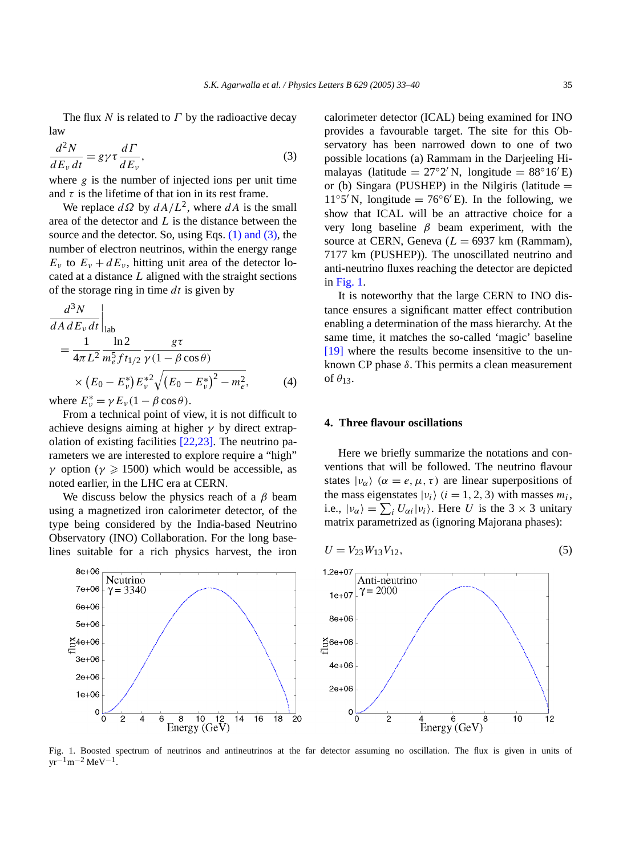The flux *N* is related to *Γ* by the radioactive decay law

$$
\frac{d^2N}{dE_v dt} = g\gamma \tau \frac{d\Gamma}{dE_v},\tag{3}
$$

where  $g$  is the number of injected ions per unit time and  $\tau$  is the lifetime of that ion in its rest frame.

We replace  $d\Omega$  by  $dA/L^2$ , where  $dA$  is the small area of the detector and *L* is the distance between the source and the detector. So, using Eqs. [\(1\) and \(3\),](#page-1-0) the number of electron neutrinos, within the energy range  $E_v$  to  $E_v + dE_v$ , hitting unit area of the detector located at a distance *L* aligned with the straight sections of the storage ring in time *dt* is given by

$$
\frac{d^3 N}{dA dE_v dt}\Big|_{\text{lab}}
$$
\n
$$
= \frac{1}{4\pi L^2} \frac{\ln 2}{m_e^5 f t_{1/2}} \frac{g\tau}{\gamma (1 - \beta \cos \theta)}
$$
\n
$$
\times (E_0 - E_v^*) E_v^{*2} \sqrt{(E_0 - E_v^*)^2 - m_e^2},
$$
\n(4)

where  $E_v^* = \gamma E_v (1 - \beta \cos \theta)$ .

 $8e+0f$ 

 $7e+06$ 

 $6e + 06$ 

 $5e+06$  $\tilde{\Xi}$ 4e+06

 $3e + 06$ 

 $2e + 06$ 

 $1e+06$  $\mathbf 0$  Neutrino

 $y = 3340$ 

 $\overline{2}$ 

6  $\,8\,$  $10$  $12$  $14$ 

Energy (GeV)

 $\overline{0}$ 

From a technical point of view, it is not difficult to achieve designs aiming at higher *γ* by direct extrapolation of existing facilities [\[22,23\].](#page-7-0) The neutrino parameters we are interested to explore require a "high" *γ* option ( $\gamma \ge 1500$ ) which would be accessible, as noted earlier, in the LHC era at CERN.

We discuss below the physics reach of a *β* beam using a magnetized iron calorimeter detector, of the type being considered by the India-based Neutrino Observatory (INO) Collaboration. For the long baselines suitable for a rich physics harvest, the iron

calorimeter detector (ICAL) being examined for INO provides a favourable target. The site for this Observatory has been narrowed down to one of two possible locations (a) Rammam in the Darjeeling Himalayas (latitude =  $27°2'$ N, longitude =  $88°16'E$ ) or (b) Singara (PUSHEP) in the Nilgiris (latitude  $=$  $11°5'$  N, longitude = 76°6' E). In the following, we show that ICAL will be an attractive choice for a very long baseline *β* beam experiment, with the source at CERN, Geneva  $(L = 6937 \text{ km}$  (Rammam), 7177 km (PUSHEP)). The unoscillated neutrino and anti-neutrino fluxes reaching the detector are depicted in Fig. 1.

It is noteworthy that the large CERN to INO distance ensures a significant matter effect contribution enabling a determination of the mass hierarchy. At the same time, it matches the so-called 'magic' baseline [\[19\]](#page-7-0) where the results become insensitive to the unknown CP phase *δ*. This permits a clean measurement of *θ*13.

# **4. Three flavour oscillations**

Here we briefly summarize the notations and conventions that will be followed. The neutrino flavour states  $|v_{\alpha}\rangle$  ( $\alpha = e, \mu, \tau$ ) are linear superpositions of the mass eigenstates  $|v_i\rangle$  ( $i = 1, 2, 3$ ) with masses  $m_i$ , i.e.,  $|v_{\alpha}\rangle = \sum_{i} U_{\alpha i} |v_{i}\rangle$ . Here *U* is the 3 × 3 unitary matrix parametrized as (ignoring Majorana phases):

$$
U = V_{23}W_{13}V_{12},\tag{5}
$$





 $\overline{16}$  $\overline{18}$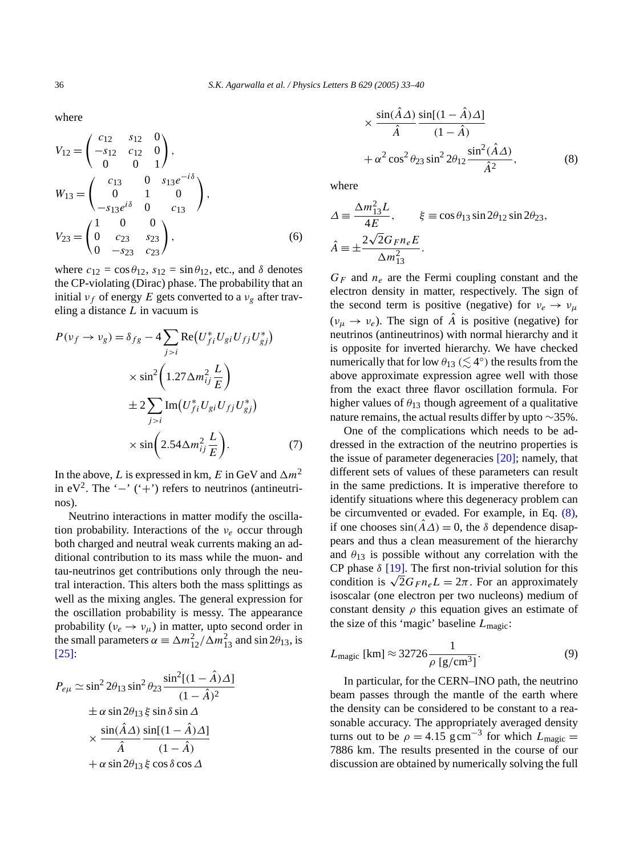<span id="page-3-0"></span>where

$$
V_{12} = \begin{pmatrix} c_{12} & s_{12} & 0 \\ -s_{12} & c_{12} & 0 \\ 0 & 0 & 1 \end{pmatrix},
$$
  
\n
$$
W_{13} = \begin{pmatrix} c_{13} & 0 & s_{13}e^{-i\delta} \\ 0 & 1 & 0 \\ -s_{13}e^{i\delta} & 0 & c_{13} \end{pmatrix},
$$
  
\n
$$
V_{23} = \begin{pmatrix} 1 & 0 & 0 \\ 0 & c_{23} & s_{23} \\ 0 & -s_{23} & c_{23} \end{pmatrix},
$$
 (6)

where  $c_{12} = \cos \theta_{12}$ ,  $s_{12} = \sin \theta_{12}$ , etc., and  $\delta$  denotes the CP-violating (Dirac) phase. The probability that an initial  $v_f$  of energy *E* gets converted to a  $v_g$  after traveling a distance *L* in vacuum is

$$
P(\nu_f \to \nu_g) = \delta_{fg} - 4 \sum_{j>i} \text{Re}(U_{fi}^* U_{gi} U_{fj} U_{gj}^*)
$$
  

$$
\times \sin^2 \left( 1.27 \Delta m_{ij}^2 \frac{L}{E} \right)
$$
  

$$
\pm 2 \sum_{j>i} \text{Im}(U_{fi}^* U_{gi} U_{fj} U_{gj}^*)
$$
  

$$
\times \sin \left( 2.54 \Delta m_{ij}^2 \frac{L}{E} \right).
$$
 (7)

In the above, *L* is expressed in km, *E* in GeV and  $\Delta m^2$ in eV<sup>2</sup>. The '−' ('+') refers to neutrinos (antineutrinos).

Neutrino interactions in matter modify the oscillation probability. Interactions of the *νe* occur through both charged and neutral weak currents making an additional contribution to its mass while the muon- and tau-neutrinos get contributions only through the neutral interaction. This alters both the mass splittings as well as the mixing angles. The general expression for the oscillation probability is messy. The appearance probability ( $v_e \rightarrow v_\mu$ ) in matter, upto second order in the small parameters  $\alpha = \Delta m_{12}^2 / \Delta m_{13}^2$  and sin 2 $\theta_{13}$ , is [\[25\]:](#page-7-0)

$$
P_{e\mu} \simeq \sin^2 2\theta_{13} \sin^2 \theta_{23} \frac{\sin^2[(1-\hat{A})\Delta]}{(1-\hat{A})^2}
$$
  
\n
$$
\pm \alpha \sin 2\theta_{13} \xi \sin \delta \sin \Delta
$$
  
\n
$$
\times \frac{\sin(\hat{A}\Delta)}{\hat{A}} \frac{\sin[(1-\hat{A})\Delta]}{(1-\hat{A})}
$$
  
\n
$$
+ \alpha \sin 2\theta_{13} \xi \cos \delta \cos \Delta
$$

$$
\times \frac{\sin(A\Delta)\sin[(1-A)\Delta]}{\hat{A}} \n+ \alpha^2 \cos^2 \theta_{23} \sin^2 2\theta_{12} \frac{\sin^2(\hat{A}\Delta)}{\hat{A}^2},
$$
\n(8)

where

$$
\Delta \equiv \frac{\Delta m_{13}^2 L}{4E}, \qquad \xi \equiv \cos \theta_{13} \sin 2\theta_{12} \sin 2\theta_{23},
$$
  

$$
\hat{A} \equiv \pm \frac{2\sqrt{2}G_{F}n_{e}E}{\Delta m_{13}^2}.
$$

*GF* and *ne* are the Fermi coupling constant and the electron density in matter, respectively. The sign of the second term is positive (negative) for  $v_e \rightarrow v_\mu$  $(v_{\mu} \rightarrow v_{e})$ . The sign of *A* is positive (negative) for neutrinos (antineutrinos) with normal hierarchy and it is opposite for inverted hierarchy. We have checked numerically that for low  $\theta_{13}$  ( $\lesssim 4^{\circ}$ ) the results from the above approximate expression agree well with those from the exact three flavor oscillation formula. For higher values of  $\theta_{13}$  though agreement of a qualitative nature remains, the actual results differ by upto ∼35%.

One of the complications which needs to be addressed in the extraction of the neutrino properties is the issue of parameter degeneracies [\[20\];](#page-7-0) namely, that different sets of values of these parameters can result in the same predictions. It is imperative therefore to identify situations where this degeneracy problem can be circumvented or evaded. For example, in Eq. (8), if one chooses  $sin(A\Delta) = 0$ , the  $\delta$  dependence disappears and thus a clean measurement of the hierarchy and  $\theta_{13}$  is possible without any correlation with the CP phase  $\delta$  [\[19\].](#page-7-0) The first non-trivial solution for this condition is  $\sqrt{2}G_F n_e L = 2\pi$ . For an approximately isoscalar (one electron per two nucleons) medium of constant density  $\rho$  this equation gives an estimate of the size of this 'magic' baseline *L*magic:

$$
L_{\text{magic}} \text{ [km]} \approx 32726 \frac{1}{\rho \text{ [g/cm}^3\text{]}}.\tag{9}
$$

In particular, for the CERN–INO path, the neutrino beam passes through the mantle of the earth where the density can be considered to be constant to a reasonable accuracy. The appropriately averaged density turns out to be  $\rho = 4.15$  g cm<sup>-3</sup> for which  $L_{\text{magic}} =$ 7886 km. The results presented in the course of our discussion are obtained by numerically solving the full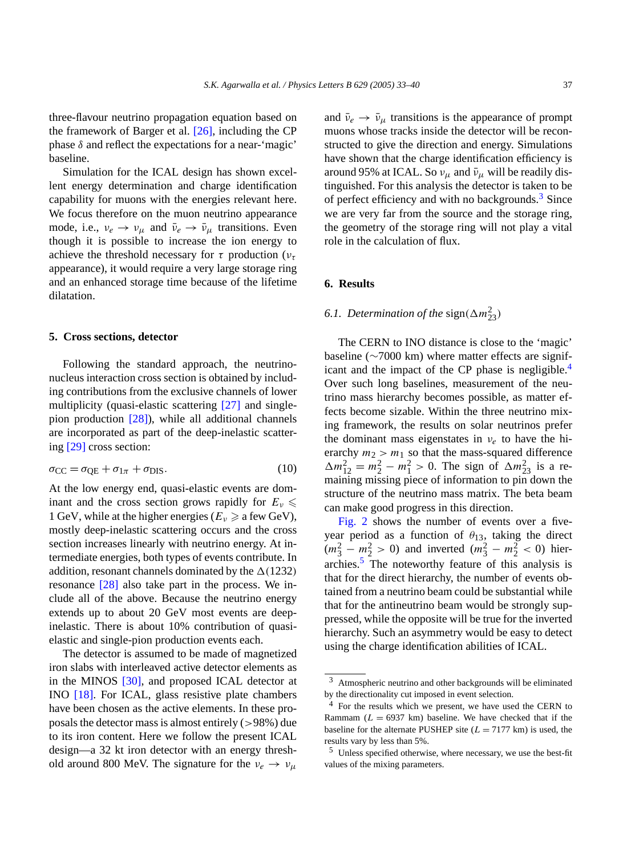three-flavour neutrino propagation equation based on the framework of Barger et al. [\[26\],](#page-7-0) including the CP phase  $\delta$  and reflect the expectations for a near-'magic' baseline.

Simulation for the ICAL design has shown excellent energy determination and charge identification capability for muons with the energies relevant here. We focus therefore on the muon neutrino appearance mode, i.e.,  $v_e \rightarrow v_\mu$  and  $\bar{v}_e \rightarrow \bar{v}_\mu$  transitions. Even though it is possible to increase the ion energy to achieve the threshold necessary for *τ* production (*ντ* appearance), it would require a very large storage ring and an enhanced storage time because of the lifetime dilatation.

## **5. Cross sections, detector**

Following the standard approach, the neutrinonucleus interaction cross section is obtained by including contributions from the exclusive channels of lower multiplicity (quasi-elastic scattering [\[27\]](#page-7-0) and singlepion production [\[28\]\)](#page-7-0), while all additional channels are incorporated as part of the deep-inelastic scattering [\[29\]](#page-7-0) cross section:

$$
\sigma_{\rm CC} = \sigma_{\rm QE} + \sigma_{1\pi} + \sigma_{\rm DIS}.\tag{10}
$$

At the low energy end, quasi-elastic events are dominant and the cross section grows rapidly for  $E_v \leq$ 1 GeV, while at the higher energies ( $E_v \ge a$  few GeV), mostly deep-inelastic scattering occurs and the cross section increases linearly with neutrino energy. At intermediate energies, both types of events contribute. In addition, resonant channels dominated by the  $\Delta(1232)$ resonance [\[28\]](#page-7-0) also take part in the process. We include all of the above. Because the neutrino energy extends up to about 20 GeV most events are deepinelastic. There is about 10% contribution of quasielastic and single-pion production events each.

The detector is assumed to be made of magnetized iron slabs with interleaved active detector elements as in the MINOS [\[30\],](#page-7-0) and proposed ICAL detector at INO [\[18\].](#page-7-0) For ICAL, glass resistive plate chambers have been chosen as the active elements. In these proposals the detector mass is almost entirely (*>*98%) due to its iron content. Here we follow the present ICAL design—a 32 kt iron detector with an energy threshold around 800 MeV. The signature for the  $v_e \rightarrow v_\mu$ 

and  $\bar{\nu}_e \rightarrow \bar{\nu}_\mu$  transitions is the appearance of prompt muons whose tracks inside the detector will be reconstructed to give the direction and energy. Simulations have shown that the charge identification efficiency is around 95% at ICAL. So  $v_\mu$  and  $\bar{v}_\mu$  will be readily distinguished. For this analysis the detector is taken to be of perfect efficiency and with no backgrounds.<sup>3</sup> Since we are very far from the source and the storage ring, the geometry of the storage ring will not play a vital role in the calculation of flux.

#### **6. Results**

# *6.1. Determination of the*  $sign(\Delta m_{23}^2)$

The CERN to INO distance is close to the 'magic' baseline (∼7000 km) where matter effects are significant and the impact of the CP phase is negligible.<sup>4</sup> Over such long baselines, measurement of the neutrino mass hierarchy becomes possible, as matter effects become sizable. Within the three neutrino mixing framework, the results on solar neutrinos prefer the dominant mass eigenstates in *νe* to have the hierarchy  $m_2 > m_1$  so that the mass-squared difference  $\Delta m_{12}^2 = m_2^2 - m_1^2 > 0$ . The sign of  $\Delta m_{23}^2$  is a remaining missing piece of information to pin down the structure of the neutrino mass matrix. The beta beam can make good progress in this direction.

[Fig. 2](#page-5-0) shows the number of events over a fiveyear period as a function of  $\theta_{13}$ , taking the direct  $(m_3^2 - m_2^2 > 0)$  and inverted  $(m_3^2 - m_2^2 < 0)$  hierarchies. $\frac{5}{7}$  The noteworthy feature of this analysis is that for the direct hierarchy, the number of events obtained from a neutrino beam could be substantial while that for the antineutrino beam would be strongly suppressed, while the opposite will be true for the inverted hierarchy. Such an asymmetry would be easy to detect using the charge identification abilities of ICAL.

<sup>3</sup> Atmospheric neutrino and other backgrounds will be eliminated by the directionality cut imposed in event selection.

<sup>4</sup> For the results which we present, we have used the CERN to Rammam  $(L = 6937 \text{ km})$  baseline. We have checked that if the baseline for the alternate PUSHEP site  $(L = 7177 \text{ km})$  is used, the results vary by less than 5%.

<sup>5</sup> Unless specified otherwise, where necessary, we use the best-fit values of the mixing parameters.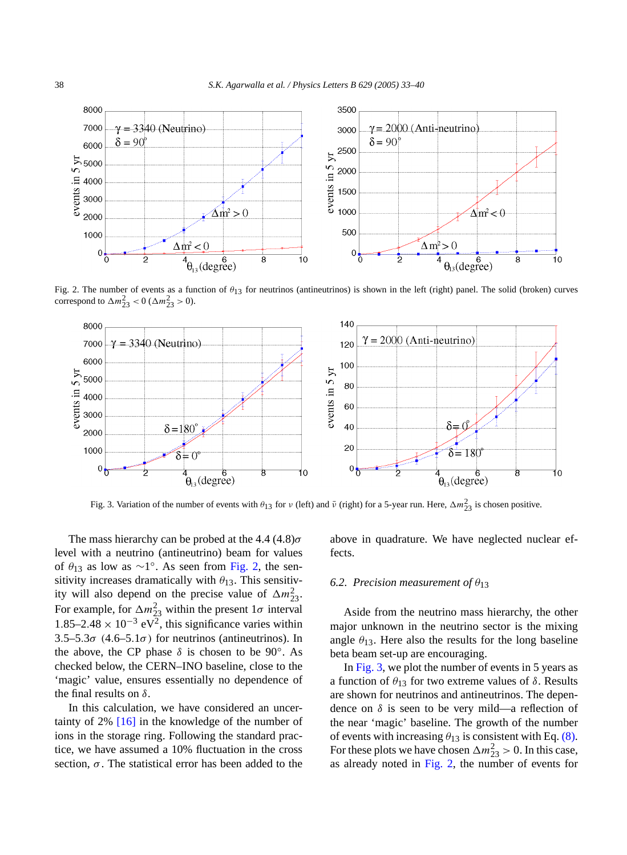<span id="page-5-0"></span>

Fig. 2. The number of events as a function of *θ*13 for neutrinos (antineutrinos) is shown in the left (right) panel. The solid (broken) curves correspond to  $\Delta m_{23}^2 < 0$  ( $\Delta m_{23}^2 > 0$ ).



Fig. 3. Variation of the number of events with  $\theta_{13}$  for *v* (left) and  $\bar{\nu}$  (right) for a 5-year run. Here,  $\Delta m_{23}^2$  is chosen positive.

The mass hierarchy can be probed at the 4.4 (4.8)*σ* level with a neutrino (antineutrino) beam for values of *θ*<sup>13</sup> as low as ∼1◦. As seen from Fig. 2, the sensitivity increases dramatically with  $\theta_{13}$ . This sensitivity will also depend on the precise value of  $\Delta m_{23}^2$ . For example, for  $\Delta m_{23}^2$  within the present  $1\sigma$  interval 1.85–2.48 × 10<sup>-3</sup> eV<sup>2</sup>, this significance varies within 3*.*5–5*.*3*σ (*4*.*6–5*.*1*σ )* for neutrinos (antineutrinos). In the above, the CP phase  $\delta$  is chosen to be 90°. As checked below, the CERN–INO baseline, close to the 'magic' value, ensures essentially no dependence of the final results on *δ*.

In this calculation, we have considered an uncertainty of  $2\%$  [\[16\]](#page-6-0) in the knowledge of the number of ions in the storage ring. Following the standard practice, we have assumed a 10% fluctuation in the cross section,  $\sigma$ . The statistical error has been added to the above in quadrature. We have neglected nuclear effects.

# *6.2. Precision measurement of θ*<sup>13</sup>

Aside from the neutrino mass hierarchy, the other major unknown in the neutrino sector is the mixing angle  $\theta_{13}$ . Here also the results for the long baseline beta beam set-up are encouraging.

In Fig. 3, we plot the number of events in 5 years as a function of *θ*<sup>13</sup> for two extreme values of *δ*. Results are shown for neutrinos and antineutrinos. The dependence on  $\delta$  is seen to be very mild—a reflection of the near 'magic' baseline. The growth of the number of events with increasing  $\theta_{13}$  is consistent with Eq. [\(8\).](#page-3-0) For these plots we have chosen  $\Delta m_{23}^2 > 0$ . In this case, as already noted in Fig. 2, the number of events for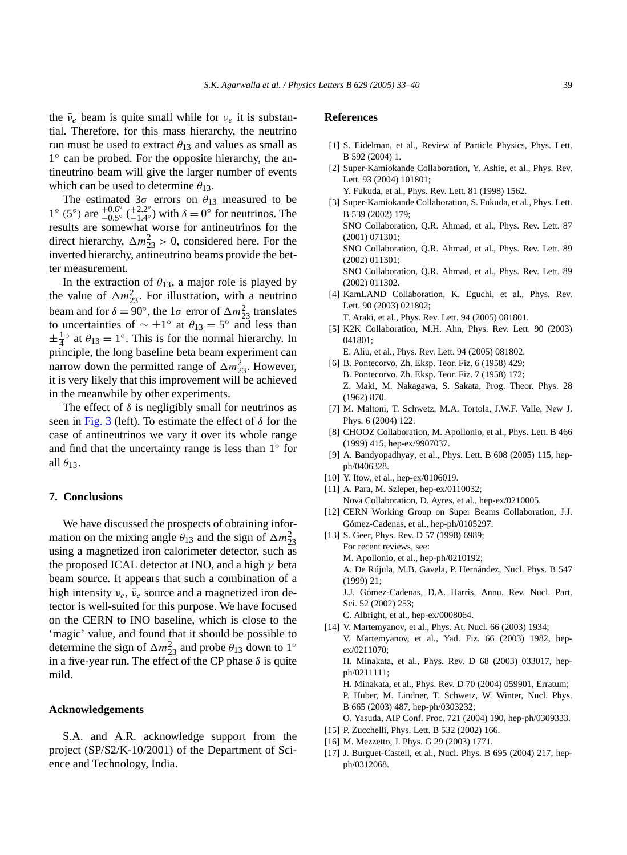<span id="page-6-0"></span>the  $\bar{\nu}_e$  beam is quite small while for  $\nu_e$  it is substantial. Therefore, for this mass hierarchy, the neutrino run must be used to extract  $\theta_{13}$  and values as small as 1◦ can be probed. For the opposite hierarchy, the antineutrino beam will give the larger number of events which can be used to determine  $\theta_{13}$ .

The estimated  $3\sigma$  errors on  $\theta_{13}$  measured to be 1° (5°) are  $^{+0.6°}_{-0.5°}$  ( $^{+2.2°}_{-1.4°}$ ) with *δ* = 0° for neutrinos. The results are somewhat worse for antineutrinos for the direct hierarchy,  $\Delta m_{23}^2 > 0$ , considered here. For the inverted hierarchy, antineutrino beams provide the better measurement.

In the extraction of  $\theta_{13}$ , a major role is played by the value of  $\Delta m_{23}^2$ . For illustration, with a neutrino beam and for  $\delta = 90^\circ$ , the  $1\sigma$  error of  $\Delta m_{23}^2$  translates to uncertainties of  $∼ ±1°$  at  $θ_{13} = 5°$  and less than  $\pm \frac{1}{4}$ <sup>o</sup> at  $\theta_{13} = 1$ <sup>o</sup>. This is for the normal hierarchy. In principle, the long baseline beta beam experiment can narrow down the permitted range of  $\Delta m_{23}^2$ . However, it is very likely that this improvement will be achieved in the meanwhile by other experiments.

The effect of  $\delta$  is negligibly small for neutrinos as seen in [Fig. 3](#page-5-0) (left). To estimate the effect of *δ* for the case of antineutrinos we vary it over its whole range and find that the uncertainty range is less than 1◦ for all  $\theta$ <sub>13</sub>.

## **7. Conclusions**

We have discussed the prospects of obtaining information on the mixing angle  $\theta_{13}$  and the sign of  $\Delta m_{23}^2$ using a magnetized iron calorimeter detector, such as the proposed ICAL detector at INO, and a high *γ* beta beam source. It appears that such a combination of a high intensity  $v_e$ ,  $\bar{v}_e$  source and a magnetized iron detector is well-suited for this purpose. We have focused on the CERN to INO baseline, which is close to the 'magic' value, and found that it should be possible to determine the sign of  $\Delta m_{23}^2$  and probe  $\theta_{13}$  down to 1<sup>°</sup> in a five-year run. The effect of the CP phase  $\delta$  is quite mild.

# **Acknowledgements**

S.A. and A.R. acknowledge support from the project (SP/S2/K-10/2001) of the Department of Science and Technology, India.

# **References**

- [1] S. Eidelman, et al., Review of Particle Physics, Phys. Lett. B 592 (2004) 1.
- [2] Super-Kamiokande Collaboration, Y. Ashie, et al., Phys. Rev. Lett. 93 (2004) 101801;
	- Y. Fukuda, et al., Phys. Rev. Lett. 81 (1998) 1562.
- [3] Super-Kamiokande Collaboration, S. Fukuda, et al., Phys. Lett. B 539 (2002) 179; SNO Collaboration, Q.R. Ahmad, et al., Phys. Rev. Lett. 87 (2001) 071301; SNO Collaboration, Q.R. Ahmad, et al., Phys. Rev. Lett. 89 (2002) 011301; SNO Collaboration, Q.R. Ahmad, et al., Phys. Rev. Lett. 89 (2002) 011302. [4] KamLAND Collaboration, K. Eguchi, et al., Phys. Rev.
- Lett. 90 (2003) 021802;
	- T. Araki, et al., Phys. Rev. Lett. 94 (2005) 081801.
- [5] K2K Collaboration, M.H. Ahn, Phys. Rev. Lett. 90 (2003) 041801;
	- E. Aliu, et al., Phys. Rev. Lett. 94 (2005) 081802.
- [6] B. Pontecorvo, Zh. Eksp. Teor. Fiz. 6 (1958) 429; B. Pontecorvo, Zh. Eksp. Teor. Fiz. 7 (1958) 172; Z. Maki, M. Nakagawa, S. Sakata, Prog. Theor. Phys. 28 (1962) 870.
- [7] M. Maltoni, T. Schwetz, M.A. Tortola, J.W.F. Valle, New J. Phys. 6 (2004) 122.
- [8] CHOOZ Collaboration, M. Apollonio, et al., Phys. Lett. B 466 (1999) 415, hep-ex/9907037.
- [9] A. Bandyopadhyay, et al., Phys. Lett. B 608 (2005) 115, hepph/0406328.
- [10] Y. Itow, et al., hep-ex/0106019.
- [11] A. Para, M. Szleper, hep-ex/0110032;
- Nova Collaboration, D. Ayres, et al., hep-ex/0210005.
- [12] CERN Working Group on Super Beams Collaboration, J.J. Gómez-Cadenas, et al., hep-ph/0105297.
- [13] S. Geer, Phys. Rev. D 57 (1998) 6989; For recent reviews, see:
- M. Apollonio, et al., hep-ph/0210192;
	- A. De Rújula, M.B. Gavela, P. Hernández, Nucl. Phys. B 547 (1999) 21;
	- J.J. Gómez-Cadenas, D.A. Harris, Annu. Rev. Nucl. Part. Sci. 52 (2002) 253;
	- C. Albright, et al., hep-ex/0008064.
- [14] V. Martemyanov, et al., Phys. At. Nucl. 66 (2003) 1934; V. Martemyanov, et al., Yad. Fiz. 66 (2003) 1982, hepex/0211070; H. Minakata, et al., Phys. Rev. D 68 (2003) 033017, hepph/0211111; H. Minakata, et al., Phys. Rev. D 70 (2004) 059901, Erratum; P. Huber, M. Lindner, T. Schwetz, W. Winter, Nucl. Phys. B 665 (2003) 487, hep-ph/0303232;
	- O. Yasuda, AIP Conf. Proc. 721 (2004) 190, hep-ph/0309333.
- [15] P. Zucchelli, Phys. Lett. B 532 (2002) 166.
- [16] M. Mezzetto, J. Phys. G 29 (2003) 1771.
- [17] J. Burguet-Castell, et al., Nucl. Phys. B 695 (2004) 217, hepph/0312068.